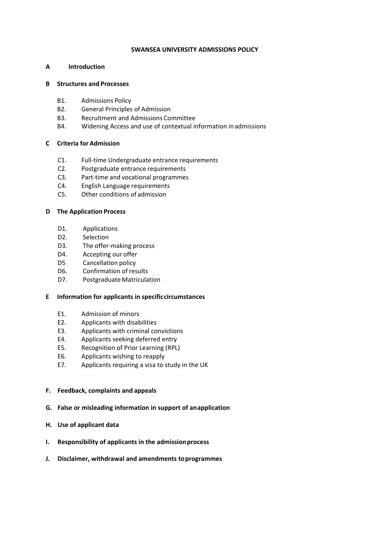#### **SWANSEA UNIVERSITY ADMISSIONS POLICY**

## **A Introduction**

### **B Structures and Processes**

- B1. Admissions Policy
- B2. General Principles of Admission
- B3. Recruitment and Admissions Committee
- B4. Widening Access and use of contextual information inadmissions

## **C Criteria for Admission**

- C1. Full-time Undergraduate entrance requirements
- C2. Postgraduate entrance requirements
- C3. Part-time and vocational programmes
- C4. English Language requirements
- C5. Other conditions of admission

## **D The Application Process**

- D1. Applications
- D2. Selection
- D3. The offer-making process
- D4. Accepting our offer
- D5 Cancellation policy
- D6. Confirmation of results
- D7. Postgraduate Matriculation

#### **E Information for applicants in specificcircumstances**

- E1. Admission of minors
- E2. Applicants with disabilities
- E3. Applicants with criminal convictions
- E4. Applicants seeking deferred entry
- E5. Recognition of Prior Learning (RPL)
- E6. Applicants wishing to reapply
- E7. Applicants requiring a visa to study in the UK
- **F. Feedback, complaints and appeals**
- **G. False or misleading information in support of anapplication**
- **H. Use of applicant data**
- **I.** Responsibility of applicants in the admission process
- **J. Disclaimer, withdrawal and amendments toprogrammes**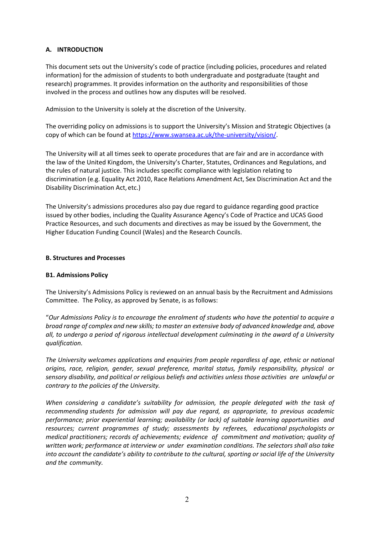# **A. INTRODUCTION**

This document sets out the University's code of practice (including policies, procedures and related information) for the admission of students to both undergraduate and postgraduate (taught and research) programmes. It provides information on the authority and responsibilities of those involved in the process and outlines how any disputes will be resolved.

Admission to the University is solely at the discretion of the University.

The overriding policy on admissions is to support the University's Mission and Strategic Objectives (a copy of which can be found at [https://www.swansea.ac.uk/the-university/vision/.](https://www.swansea.ac.uk/the-university/vision/)

The University will at all times seek to operate procedures that are fair and are in accordance with the law of the United Kingdom, the University's Charter, Statutes, Ordinances and Regulations, and the rules of natural justice. This includes specific compliance with legislation relating to discrimination (e.g. Equality Act 2010, Race Relations Amendment Act, Sex Discrimination Act and the Disability Discrimination Act, etc.)

The University's admissions procedures also pay due regard to guidance regarding good practice issued by other bodies, including the Quality Assurance Agency's Code of Practice and UCAS Good Practice Resources, and such documents and directives as may be issued by the Government, the Higher Education Funding Council (Wales) and the Research Councils.

## **B. Structures and Processes**

#### **B1. Admissions Policy**

The University's Admissions Policy is reviewed on an annual basis by the Recruitment and Admissions Committee. The Policy, as approved by Senate, is as follows:

"*Our Admissions Policy is to encourage the enrolment of students who have the potential to acquire a broad range of complex and new skills; to master an extensive body of advanced knowledge and, above all, to undergo a period of rigorous intellectual development culminating in the award of a University qualification.*

*The University welcomes applications and enquiries from people regardless of age, ethnic or national origins, race, religion, gender, sexual preference, marital status, family responsibility, physical or sensory disability, and political or religious beliefs and activities unless those activities are unlawful or contrary to the policies of the University.*

*When considering a candidate's suitability for admission, the people delegated with the task of recommending students for admission will pay due regard, as appropriate, to previous academic performance; prior experiential learning; availability (or lack) of suitable learning opportunities and resources; current programmes of study; assessments by referees, educational psychologists or medical practitioners; records of achievements; evidence of commitment and motivation; quality of written work; performance at interview or under examination conditions. The selectors shall also take into account the candidate's ability to contribute to the cultural, sporting or social life of the University and the community.*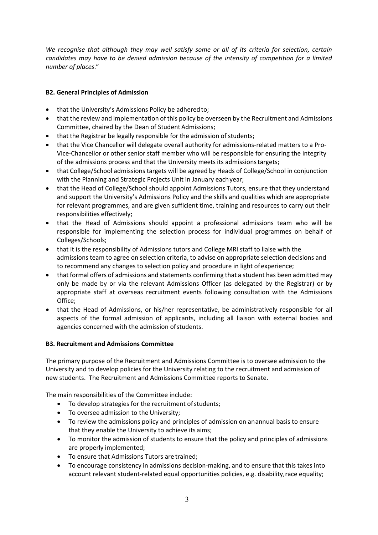*We recognise that although they may well satisfy some or all of its criteria for selection, certain candidates may have to be denied admission because of the intensity of competition for a limited number of places*."

# **B2. General Principles of Admission**

- that the University's Admissions Policy be adhered to:
- that the review and implementation of this policy be overseen by the Recruitment and Admissions Committee, chaired by the Dean of Student Admissions;
- that the Registrar be legally responsible for the admission of students:
- that the Vice Chancellor will delegate overall authority for admissions-related matters to a Pro-Vice-Chancellor or other senior staff member who will be responsible for ensuring the integrity of the admissions process and that the University meets its admissionstargets;
- that College/School admissions targets will be agreed by Heads of College/School in conjunction with the Planning and Strategic Projects Unit in January eachyear;
- that the Head of College/School should appoint Admissions Tutors, ensure that they understand and support the University's Admissions Policy and the skills and qualities which are appropriate for relevant programmes, and are given sufficient time, training and resources to carry out their responsibilities effectively;
- that the Head of Admissions should appoint a professional admissions team who will be responsible for implementing the selection process for individual programmes on behalf of Colleges/Schools;
- that it is the responsibility of Admissions tutors and College MRI staff to liaise with the admissions team to agree on selection criteria, to advise on appropriate selection decisions and to recommend any changes to selection policy and procedure in light ofexperience;
- that formal offers of admissions and statements confirming that a student has been admitted may only be made by or via the relevant Admissions Officer (as delegated by the Registrar) or by appropriate staff at overseas recruitment events following consultation with the Admissions Office;
- that the Head of Admissions, or his/her representative, be administratively responsible for all aspects of the formal admission of applicants, including all liaison with external bodies and agencies concerned with the admission ofstudents.

## **B3. Recruitment and Admissions Committee**

The primary purpose of the Recruitment and Admissions Committee is to oversee admission to the University and to develop policies for the University relating to the recruitment and admission of new students. The Recruitment and Admissions Committee reports to Senate.

The main responsibilities of the Committee include:

- To develop strategies for the recruitment of students;
- To oversee admission to the University;
- To review the admissions policy and principles of admission on anannual basis to ensure that they enable the University to achieve its aims;
- To monitor the admission of students to ensure that the policy and principles of admissions are properly implemented;
- To ensure that Admissions Tutors are trained;
- To encourage consistency in admissions decision-making, and to ensure that this takes into account relevant student-related equal opportunities policies, e.g. disability, race equality;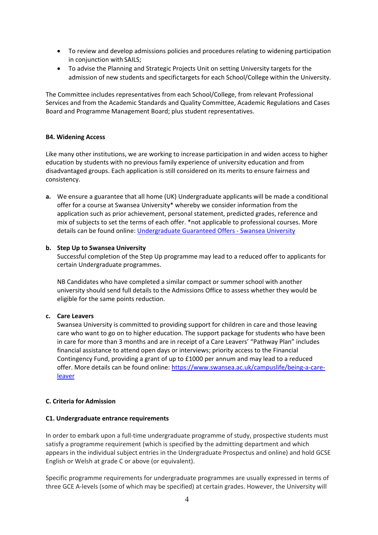- To review and develop admissions policies and procedures relating to widening participation in conjunction with SAILS;
- To advise the Planning and Strategic Projects Unit on setting University targets for the admission of new students and specifictargets for each School/College within the University.

The Committee includes representatives from each School/College, from relevant Professional Services and from the Academic Standards and Quality Committee, Academic Regulations and Cases Board and Programme Management Board; plus student representatives.

#### **B4. Widening Access**

Like many other institutions, we are working to increase participation in and widen access to higher education by students with no previous family experience of university education and from disadvantaged groups. Each application is still considered on its merits to ensure fairness and consistency.

**a.** We ensure a guarantee that all home (UK) Undergraduate applicants will be made a conditional offer for a course at Swansea University\* whereby we consider information from the application such as prior achievement, personal statement, predicted grades, reference and mix of subjects to set the terms of each offer. \*not applicable to professional courses. More details can be found online: [Undergraduate Guaranteed Offers -](https://www.swansea.ac.uk/undergraduate/how-to-apply/guaranteed-offers/) Swansea University

#### **b. Step Up to Swansea University**

Successful completion of the Step Up programme may lead to a reduced offer to applicants for certain Undergraduate programmes.

NB Candidates who have completed a similar compact or summer school with another university should send full details to the Admissions Office to assess whether they would be eligible for the same points reduction.

#### **c. Care Leavers**

Swansea University is committed to providing support for children in care and those leaving care who want to go on to higher education. The support package for students who have been in care for more than 3 months and are in receipt of a Care Leavers' "Pathway Plan" includes financial assistance to attend open days or interviews; priority access to the Financial Contingency Fund, providing a grant of up to £1000 per annum and may lead to a reduced offer. More details can be found online: [https://www.swansea.ac.uk/campuslife/being-a-care](https://www.swansea.ac.uk/campuslife/being-a-care-leaver)[leaver](https://www.swansea.ac.uk/campuslife/being-a-care-leaver)

#### **C. Criteria for Admission**

#### **C1. Undergraduate entrance requirements**

In order to embark upon a full-time undergraduate programme of study, prospective students must satisfy a programme requirement (which is specified by the admitting department and which appears in the individual subject entries in the Undergraduate Prospectus and online) and hold GCSE English or Welsh at grade C or above (or equivalent).

Specific programme requirements for undergraduate programmes are usually expressed in terms of three GCE A-levels (some of which may be specified) at certain grades. However, the University will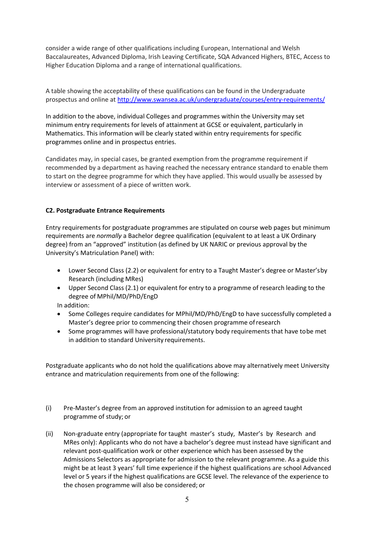consider a wide range of other qualifications including European, International and Welsh Baccalaureates, Advanced Diploma, Irish Leaving Certificate, SQA Advanced Highers, BTEC, Access to Higher Education Diploma and a range of international qualifications.

A table showing the acceptability of these qualifications can be found in the Undergraduate prospectus and online at<http://www.swansea.ac.uk/undergraduate/courses/entry-requirements/>

In addition to the above, individual Colleges and programmes within the University may set minimum entry requirements for levels of attainment at GCSE or equivalent, particularly in Mathematics. This information will be clearly stated within entry requirements for specific programmes online and in prospectus entries.

Candidates may, in special cases, be granted exemption from the programme requirement if recommended by a department as having reached the necessary entrance standard to enable them to start on the degree programme for which they have applied. This would usually be assessed by interview or assessment of a piece of written work.

## **C2. Postgraduate Entrance Requirements**

Entry requirements for postgraduate programmes are stipulated on course web pages but minimum requirements are *normally* a Bachelor degree qualification (equivalent to at least a UK Ordinary degree) from an "approved" institution (as defined by UK NARIC or previous approval by the University's Matriculation Panel) with:

- Lower Second Class (2.2) or equivalent for entry to a Taught Master's degree or Master'sby Research (including MRes)
- Upper Second Class (2.1) or equivalent for entry to a programme of research leading to the degree of MPhil/MD/PhD/EngD

In addition:

- Some Colleges require candidates for MPhil/MD/PhD/EngD to have successfully completed a Master's degree prior to commencing their chosen programme ofresearch
- Some programmes will have professional/statutory body requirements that have tobe met in addition to standard University requirements.

Postgraduate applicants who do not hold the qualifications above may alternatively meet University entrance and matriculation requirements from one of the following:

- (i) Pre-Master's degree from an approved institution for admission to an agreed taught programme of study; or
- (ii) Non-graduate entry (appropriate for taught master's study, Master's by Research and MRes only): Applicants who do not have a bachelor's degree must instead have significant and relevant post-qualification work or other experience which has been assessed by the Admissions Selectors as appropriate for admission to the relevant programme. As a guide this might be at least 3 years' full time experience if the highest qualifications are school Advanced level or 5 years if the highest qualifications are GCSE level. The relevance of the experience to the chosen programme will also be considered; or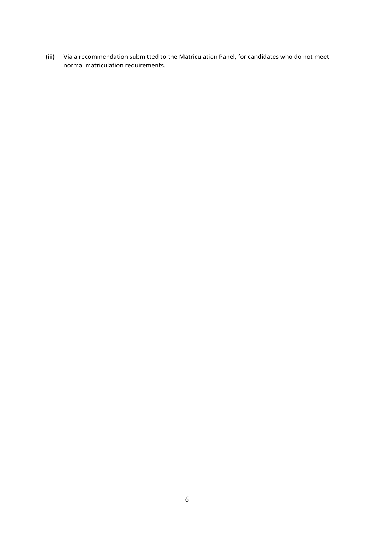(iii) Via a recommendation submitted to the Matriculation Panel, for candidates who do not meet normal matriculation requirements.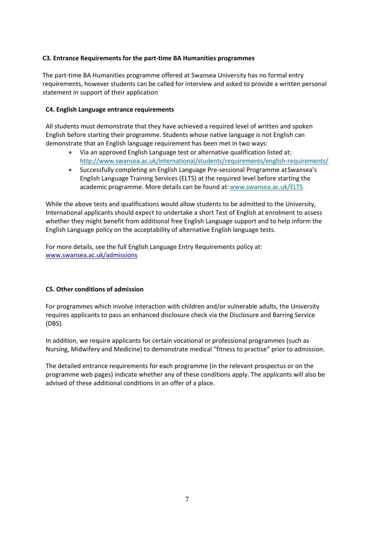## **C3. Entrance Requirements for the part-time BA Humanities programmes**

The part-time BA Humanities programme offered at Swansea University has no formal entry requirements, however students can be called for interview and asked to provide a written personal statement in support of their application

## **C4. English Language entrance requirements**

All students must demonstrate that they have achieved a required level of written and spoken English before starting their programme. Students whose native language is not English can demonstrate that an English language requirement has been met in two ways:

- Via an approved English Language test or alternative qualification listed at: <http://www.swansea.ac.uk/international/students/requirements/english-requirements/>
- Successfully completing an English Language Pre-sessional Programme atSwansea's English Language Training Services (ELTS) at the required level before starting the academic programme. More details can be found at[:www.swansea.ac.uk/ELTS](http://www.swansea.ac.uk/ELTS)

While the above tests and qualifications would allow students to be admitted to the University, International applicants should expect to undertake a short Test of English at enrolment to assess whether they might benefit from additional free English Language support and to help inform the English Language policy on the acceptability of alternative English language tests.

For more details, see the full English Language Entry Requirements policy at: [www.swansea.ac.uk/admissions](http://www.swansea.ac.uk/admissions)

## **C5. Other conditions of admission**

For programmes which involve interaction with children and/or vulnerable adults, the University requires applicants to pass an enhanced disclosure check via the Disclosure and Barring Service (DBS).

In addition, we require applicants for certain vocational or professional programmes (such as Nursing, Midwifery and Medicine) to demonstrate medical "fitness to practise" prior to admission.

The detailed entrance requirements for each programme (in the relevant prospectus or on the programme web pages) indicate whether any of these conditions apply. The applicants will also be advised of these additional conditions in an offer of a place.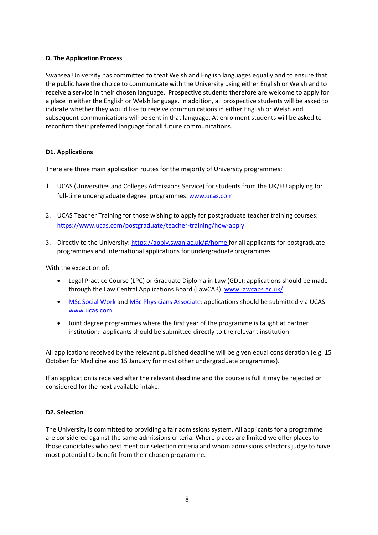## **D. The Application Process**

Swansea University has committed to treat Welsh and English languages equally and to ensure that the public have the choice to communicate with the University using either English or Welsh and to receive a service in their chosen language. Prospective students therefore are welcome to apply for a place in either the English or Welsh language. In addition, all prospective students will be asked to indicate whether they would like to receive communications in either English or Welsh and subsequent communications will be sent in that language. At enrolment students will be asked to reconfirm their preferred language for all future communications.

## **D1. Applications**

There are three main application routes for the majority of University programmes:

- 1. UCAS (Universities and Colleges Admissions Service) for students from the UK/EU applying for full-time undergraduate degree [programmes:](http://www.ucas.com/) [www.ucas.com](http://www.ucas.com/)
- 2. UCAS Teacher Training for those wishing to apply for postgraduate teacher training courses: <https://www.ucas.com/postgraduate/teacher-training/how-apply>
- 3. Directly to the University: [https://apply.swan.ac.uk/#/home f](https://apply.swan.ac.uk/%23/home)or all applicants for postgraduate programmes and international applications for undergraduate programmes

With the exception of:

- Legal Practice Course (LPC) or Graduate Diploma in Law (GDL): applications should be made through the Law Central Applications Board (LawCAB): [www.lawcabs.ac.uk/](http://www.lawcabs.ac.uk/)
- [MSc Social Work](https://www.swansea.ac.uk/postgraduate/taught/humanandhealthsciences/social-work/) and [MSc Physicians Associate:](https://www.swansea.ac.uk/postgraduate/taught/medicine/physician-associate-studies/) applications should be submitted via UCAS [www.ucas.com](http://www.ucas.com/)
- Joint degree programmes where the first year of the programme is taught at partner institution: applicants should be submitted directly to the relevant institution

All applications received by the relevant published deadline will be given equal consideration (e.g. 15 October for Medicine and 15 January for most other undergraduate programmes).

If an application is received after the relevant deadline and the course is full it may be rejected or considered for the next available intake.

#### **D2. Selection**

The University is committed to providing a fair admissions system. All applicants for a programme are considered against the same admissions criteria. Where places are limited we offer places to those candidates who best meet our selection criteria and whom admissions selectors judge to have most potential to benefit from their chosen programme.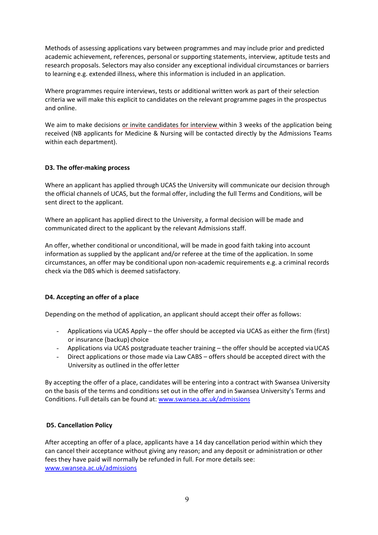Methods of assessing applications vary between programmes and may include prior and predicted academic achievement, references, personal or supporting statements, interview, aptitude tests and research proposals. Selectors may also consider any exceptional individual circumstances or barriers to learning e.g. extended illness, where this information is included in an application.

Where programmes require interviews, tests or additional written work as part of their selection criteria we will make this explicit to candidates on the relevant programme pages in the prospectus and online.

We aim to make decisions or invite candidates for interview within 3 weeks of the application being received (NB applicants for Medicine & Nursing will be contacted directly by the Admissions Teams within each department).

## **D3. The offer-making process**

Where an applicant has applied through UCAS the University will communicate our decision through the official channels of UCAS, but the formal offer, including the full Terms and Conditions, will be sent direct to the applicant.

Where an applicant has applied direct to the University, a formal decision will be made and communicated direct to the applicant by the relevant Admissions staff.

An offer, whether conditional or unconditional, will be made in good faith taking into account information as supplied by the applicant and/or referee at the time of the application. In some circumstances, an offer may be conditional upon non-academic requirements e.g. a criminal records check via the DBS which is deemed satisfactory.

#### **D4. Accepting an offer of a place**

Depending on the method of application, an applicant should accept their offer as follows:

- Applications via UCAS Apply the offer should be accepted via UCAS as either the firm (first) or insurance (backup) choice
- Applications via UCAS postgraduate teacher training the offer should be accepted viaUCAS
- Direct applications or those made via Law CABS offers should be accepted direct with the University as outlined in the offerletter

By accepting the offer of a place, candidates will be entering into a contract with Swansea University on the basis of the terms and conditions set out in the offer and in Swansea University's Terms and Conditions. Full details can be found at: [www.swansea.ac.uk/admissions](http://www.swansea.ac.uk/admissions)

#### **D5. Cancellation Policy**

After accepting an offer of a place, applicants have a 14 day cancellation period within which they can cancel their acceptance without giving any reason; and any deposit or administration or other fees they have paid will normally be refunded in full. For more details see: [www.swansea.ac.uk/admissions](http://www.swansea.ac.uk/admissions)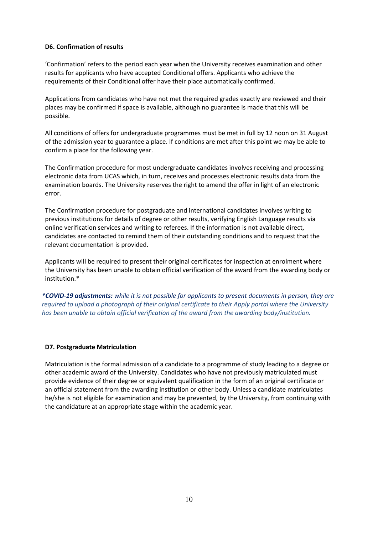#### **D6. Confirmation of results**

'Confirmation' refers to the period each year when the University receives examination and other results for applicants who have accepted Conditional offers. Applicants who achieve the requirements of their Conditional offer have their place automatically confirmed.

Applications from candidates who have not met the required grades exactly are reviewed and their places may be confirmed if space is available, although no guarantee is made that this will be possible.

All conditions of offers for undergraduate programmes must be met in full by 12 noon on 31 August of the admission year to guarantee a place. If conditions are met after this point we may be able to confirm a place for the following year.

The Confirmation procedure for most undergraduate candidates involves receiving and processing electronic data from UCAS which, in turn, receives and processes electronic results data from the examination boards. The University reserves the right to amend the offer in light of an electronic error.

The Confirmation procedure for postgraduate and international candidates involves writing to previous institutions for details of degree or other results, verifying English Language results via online verification services and writing to referees. If the information is not available direct, candidates are contacted to remind them of their outstanding conditions and to request that the relevant documentation is provided.

Applicants will be required to present their original certificates for inspection at enrolment where the University has been unable to obtain official verification of the award from the awarding body or institution.\*

*\*COVID-19 adjustments: while it is not possible for applicants to present documents in person, they are required to upload a photograph of their original certificate to their Apply portal where the University has been unable to obtain official verification of the award from the awarding body/institution.*

#### **D7. Postgraduate Matriculation**

Matriculation is the formal admission of a candidate to a programme of study leading to a degree or other academic award of the University. Candidates who have not previously matriculated must provide evidence of their degree or equivalent qualification in the form of an original certificate or an official statement from the awarding institution or other body. Unless a candidate matriculates he/she is not eligible for examination and may be prevented, by the University, from continuing with the candidature at an appropriate stage within the academic year.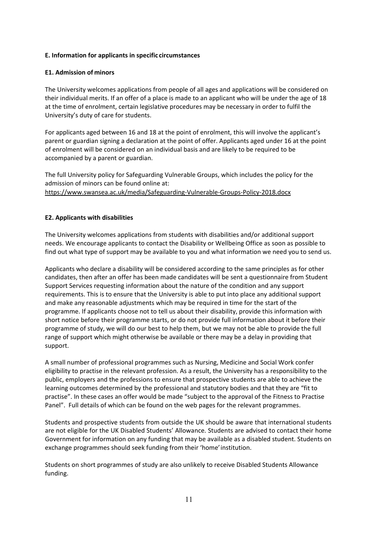## **E. Information for applicants in specific circumstances**

### **E1. Admission of minors**

The University welcomes applications from people of all ages and applications will be considered on their individual merits. If an offer of a place is made to an applicant who will be under the age of 18 at the time of enrolment, certain legislative procedures may be necessary in order to fulfil the University's duty of care for students.

For applicants aged between 16 and 18 at the point of enrolment, this will involve the applicant's parent or guardian signing a declaration at the point of offer. Applicants aged under 16 at the point of enrolment will be considered on an individual basis and are likely to be required to be accompanied by a parent or guardian.

The full University policy for Safeguarding Vulnerable Groups, which includes the policy for the admission of minors can be found online at: [https://www.swansea.ac.uk/media/Safeguarding-Vulnerable-Groups-Policy-2018.docx](http://www.swansea.ac.uk/media/Safeguarding%20Vulnerable%20Groups%20Policy%202013.pdf)

## **E2. Applicants with disabilities**

The University welcomes applications from students with disabilities and/or additional support needs. We encourage applicants to contact the Disability or Wellbeing Office as soon as possible to find out what type of support may be available to you and what information we need you to send us.

Applicants who declare a disability will be considered according to the same principles as for other candidates, then after an offer has been made candidates will be sent a questionnaire from Student Support Services requesting information about the nature of the condition and any support requirements. This is to ensure that the University is able to put into place any additional support and make any reasonable adjustments which may be required in time for the start of the programme. If applicants choose not to tell us about their disability, provide this information with short notice before their programme starts, or do not provide full information about it before their programme of study, we will do our best to help them, but we may not be able to provide the full range of support which might otherwise be available or there may be a delay in providing that support.

A small number of professional programmes such as Nursing, Medicine and Social Work confer eligibility to practise in the relevant profession. As a result, the University has a responsibility to the public, employers and the professions to ensure that prospective students are able to achieve the learning outcomes determined by the professional and statutory bodies and that they are "fit to practise". In these cases an offer would be made "subject to the approval of the Fitness to Practise Panel". Full details of which can be found on the web pages for the relevant programmes.

Students and prospective students from outside the UK should be aware that international students are not eligible for the UK Disabled Students' Allowance. Students are advised to contact their home Government for information on any funding that may be available as a disabled student. Students on exchange programmes should seek funding from their 'home' institution.

Students on short programmes of study are also unlikely to receive Disabled Students Allowance funding.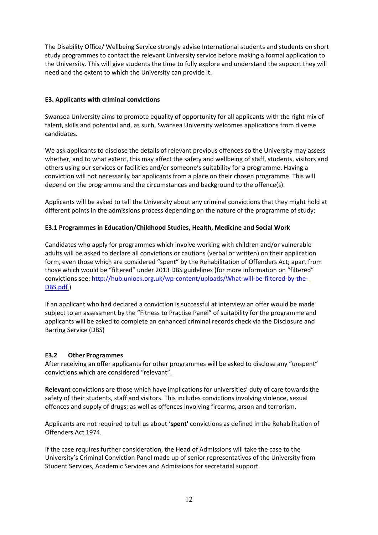The Disability Office/ Wellbeing Service strongly advise International students and students on short study programmes to contact the relevant University service before making a formal application to the University. This will give students the time to fully explore and understand the support they will need and the extent to which the University can provide it.

## **E3. Applicants with criminal convictions**

Swansea University aims to promote equality of opportunity for all applicants with the right mix of talent, skills and potential and, as such, Swansea University welcomes applications from diverse candidates.

We ask applicants to disclose the details of relevant previous offences so the University may assess whether, and to what extent, this may affect the safety and wellbeing of staff, students, visitors and others using our services or facilities and/or someone's suitability for a programme. Having a conviction will not necessarily bar applicants from a place on their chosen programme. This will depend on the programme and the circumstances and background to the offence(s).

Applicants will be asked to tell the University about any criminal convictions that they might hold at different points in the admissions process depending on the nature of the programme of study:

# **E3.1 Programmes in Education/Childhood Studies, Health, Medicine and Social Work**

Candidates who apply for programmes which involve working with children and/or vulnerable adults will be asked to declare all convictions or cautions (verbal or written) on their application form, even those which are considered "spent" by the Rehabilitation of Offenders Act; apart from those which would be "filtered" under 2013 DBS guidelines (for more information on "filtered" [convictions see: http://hub.unlock.org.uk/wp-content/uploads/What-will-be-filtered-by](http://hub.unlock.org.uk/wp-content/uploads/What-will-be-filtered-by-the-DBS.pdf)-the-DBS.pdf )

If an applicant who had declared a conviction is successful at interview an offer would be made subject to an assessment by the "Fitness to Practise Panel" of suitability for the programme and applicants will be asked to complete an enhanced criminal records check via the Disclosure and Barring Service (DBS)

## **E3.2 Other Programmes**

After receiving an offer applicants for other programmes will be asked to disclose any "unspent" convictions which are considered "relevant".

**Relevant** convictions are those which have implications for universities' duty of care towards the safety of their students, staff and visitors. This includes convictions involving violence, sexual offences and supply of drugs; as well as offences involving firearms, arson and terrorism.

Applicants are not required to tell us about '**spent'** convictions as defined in the Rehabilitation of Offenders Act 1974.

If the case requires further consideration, the Head of Admissions will take the case to the University's Criminal Conviction Panel made up of senior representatives of the University from Student Services, Academic Services and Admissions for secretarial support.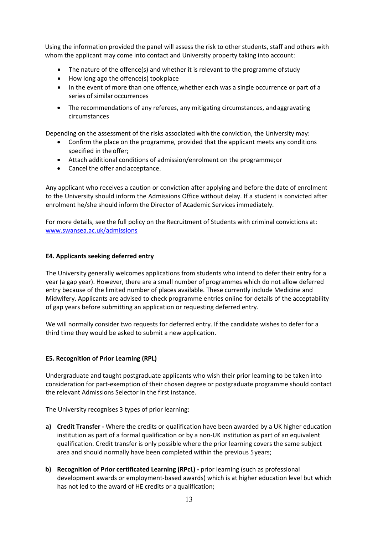Using the information provided the panel will assess the risk to other students, staff and others with whom the applicant may come into contact and University property taking into account:

- The nature of the offence(s) and whether it is relevant to the programme of study
- How long ago the offence(s) tookplace
- In the event of more than one offence,whether each was a single occurrence or part of a series of similar occurrences
- The recommendations of any referees, any mitigating circumstances, andaggravating circumstances

Depending on the assessment of the risks associated with the conviction, the University may:

- Confirm the place on the programme, provided that the applicant meets any conditions specified in the offer;
- Attach additional conditions of admission/enrolment on the programme;or
- Cancel the offer and acceptance.

Any applicant who receives a caution or conviction after applying and before the date of enrolment to the University should inform the Admissions Office without delay. If a student is convicted after enrolment he/she should inform the Director of Academic Services immediately.

For more details, see the full policy on the Recruitment of Students with criminal convictions at: [www.swansea.ac.uk/admissions](http://www.swansea.ac.uk/admissions)

#### **E4. Applicants seeking deferred entry**

The University generally welcomes applications from students who intend to defer their entry for a year (a gap year). However, there are a small number of programmes which do not allow deferred entry because of the limited number of places available. These currently include Medicine and Midwifery. Applicants are advised to check programme entries online for details of the acceptability of gap years before submitting an application or requesting deferred entry.

We will normally consider two requests for deferred entry. If the candidate wishes to defer for a third time they would be asked to submit a new application.

#### **E5. Recognition of Prior Learning (RPL)**

Undergraduate and taught postgraduate applicants who wish their prior learning to be taken into consideration for part-exemption of their chosen degree or postgraduate programme should contact the relevant Admissions Selector in the first instance.

The University recognises 3 types of prior learning:

- **a) Credit Transfer -** Where the credits or qualification have been awarded by a UK higher education institution as part of a formal qualification or by a non-UK institution as part of an equivalent qualification. Credit transfer is only possible where the prior learning covers the same subject area and should normally have been completed within the previous 5years;
- **b) Recognition of Prior certificated Learning (RPcL) -** prior learning (such as professional development awards or employment-based awards) which is at higher education level but which has not led to the award of HE credits or aqualification;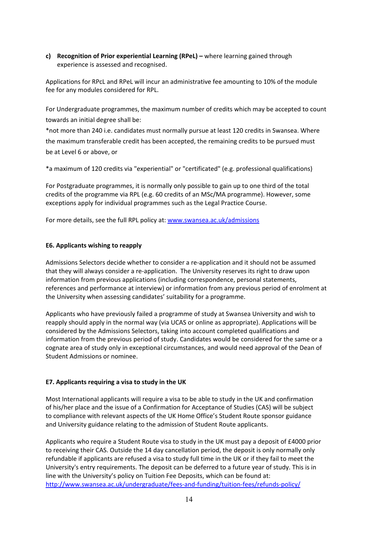## **c) Recognition of Prior experiential Learning (RPeL) –** where learning gained through experience is assessed and recognised.

Applications for RPcL and RPeL will incur an administrative fee amounting to 10% of the module fee for any modules considered for RPL.

For Undergraduate programmes, the maximum number of credits which may be accepted to count towards an initial degree shall be:

\*not more than 240 i.e. candidates must normally pursue at least 120 credits in Swansea. Where the maximum transferable credit has been [accepted, the remaining credits](http://www.swansea.ac.uk/admissions) to be pursued must be at Level 6 or above, or

\*a maximum of 120 credits via "experiential" or "certificated" (e.g. professional qualifications)

For Postgraduate programmes, it is normally only possible to gain up to one third of the total credits of the programme via RPL (e.g. 60 credits of an MSc/MA programme). However, some exceptions apply for individual programmes such as the Legal Practice Course.

For more details, see the full RPL policy at: [www.swansea.ac.uk/admissions](http://www.swansea.ac.uk/admissions)

## **E6. Applicants wishing to reapply**

Admissions Selectors decide whether to consider a re-application and it should not be assumed that they will always consider a re-application. The University reserves its right to draw upon information from previous applications (including correspondence, personal statements, references and performance at interview) or information from any previous period of enrolment at the University when assessing candidates' suitability for a programme.

Applicants who have previously failed a programme of study at Swansea University and wish to reapply should apply in the normal way (via UCAS or online as appropriate). Applications will be considered by the Admissions Selectors, taking into account completed qualifications and information from the previous period of study. Candidates would be considered for the same or a cognate area of study only in exceptional circumstances, and would need approval of the Dean of Student Admissions or nominee.

## **E7. Applicants requiring a visa to study in the UK**

Most International applicants will require a visa to be able to study in the UK and confirmation of his/her place and the issue of a Confirmation for Acceptance of Studies (CAS) will be subject to compliance with relevant aspects of the UK Home Office's Student Route sponsor guidance and University guidance relating to the admission of Student Route applicants.

Applicants who require a Student Route visa to study in the UK must pay a deposit of £4000 prior to receiving their CAS. Outside the 14 day cancellation period, the deposit is only normally only refundable if applicants are refused a visa to study full time in the UK or if they fail to meet the University's entry requirements. The deposit can be deferred to a future year of study. This is in line with the University's policy on Tuition Fee Deposits, which can be found at: <http://www.swansea.ac.uk/undergraduate/fees-and-funding/tuition-fees/refunds-policy/>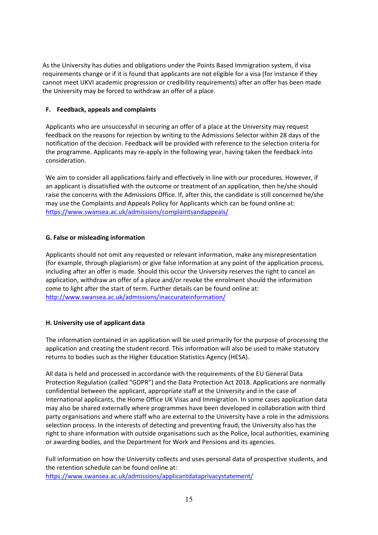As the University has duties and obligations under the Points Based Immigration system, if visa requirements change or if it is found that applicants are not eligible for a visa (for instance if they cannot meet UKVI academic progression or credibility requirements) after an offer has been made the University may be forced to withdraw an offer of a place.

## **F. Feedback, appeals and complaints**

Applicants who are unsuccessful in securing an offer of a place at the University may request feedback on the reasons for rejection by writing to the Admissions Selector within 28 days of the notification of the decision. Feedback will be provided with reference to the selection criteria for the programme. Applicants may re-apply in the following year, having taken the feedback into consideration.

We aim to consider all applications fairly and effectively in line with our procedures. However, if an applicant is dissatisfied with the outcome or treatment of an application, then he/she should raise the concerns with the Admissions Office. If, after this, the candidate is still concerned he/she may use the Complaints and Appeals Policy for Applicants which can be found online at: <https://www.swansea.ac.uk/admissions/complaintsandappeals/>

## **G. False or misleading information**

Applicants should not omit any requested or relevant information, make any misrepresentation (for example, through plagiarism) or give false information at any point of the application process, including after an offer is made. Should this occur the University reserves the right to cancel an application, withdraw an offer of a place and/or revoke the enrolment should the information come to light after the start of term. Further details can be found online at: <http://www.swansea.ac.uk/admissions/inaccurateinformation/>

## **H. University use of applicant data**

The information contained in an application will be used primarily for the purpose of processing the application and creating the student record. This information will also be used to make statutory returns to bodies such as the Higher Education Statistics Agency (HESA).

All data is held and processed in accordance with the requirements of the EU General Data Protection Regulation (called "GDPR") and the Data Protection Act 2018. Applications are normally confidential between the applicant, appropriate staff at the University and in the case of International applicants, the Home Office UK Visas and Immigration. In some cases application data may also be shared externally where programmes have been developed in collaboration with third party organisations and where staff who are external to the University have a role in the admissions selection process. In the interests of detecting and preventing fraud, the University also has the right to share information with outside organisations such as the Police, local authorities, examining or awarding bodies, and the Department for Work and Pensions and its agencies.

Full information on how the University collects and uses personal data of prospective students, and the retention schedule can be found online at: <https://www.swansea.ac.uk/admissions/applicantdataprivacystatement/>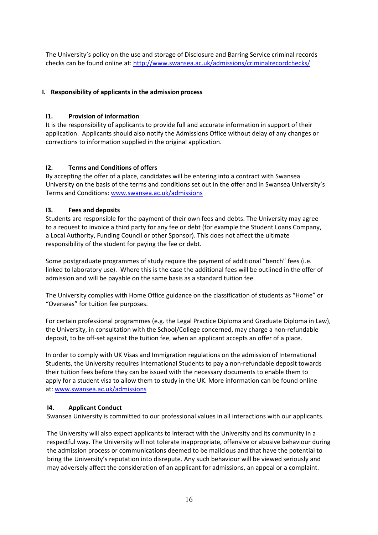The University's policy on the use and storage of Disclosure and Barring Service criminal records checks can be found online at: <http://www.swansea.ac.uk/admissions/criminalrecordchecks/>

## **I. Responsibility of applicants in the admission process**

## **I1. Provision of information**

It is the responsibility of applicants to provide full and accurate information in support of their application. Applicants should also notify the Admissions Office without delay of any changes or corrections to information supplied in the original application.

## **I2. Terms and Conditions of offers**

By accepting the offer of a place, candidates will be entering into a contract with Swansea University on the basis of the terms and conditions set out in the offer and in Swansea University's Terms and Conditions: [www.swansea.ac.uk/admissions](http://www.swansea.ac.uk/admissions)

## **I3. Fees and deposits**

Students are responsible for the payment of their own fees and debts. The University may agree to a request to invoice a third party for any fee or debt (for example the Student Loans Company, a Local Authority, Funding Council or other Sponsor). This does not affect the ultimate responsibility of the student for paying the fee or debt.

Some postgraduate programmes of study require the payment of additional "bench" fees (i.e. linked to laboratory use). Where this is the case the additional fees will be outlined in the offer of admission and will be payable on the same basis as a standard tuition fee.

The University complies with Home Office guidance on the classification of students as "Home" or "Overseas" for tuition fee purposes.

For certain professional programmes (e.g. the Legal Practice Diploma and Graduate Diploma in Law), the University, in consultation with the School/College concerned, may charge a non-refundable deposit, to be off-set against the tuition fee, when an applicant accepts an offer of a place.

In order to comply with UK Visas and Immigration regulations on the admission of International Students, the University requires International Students to pay a non-refundable deposit towards their tuition fees before they can be issued with the necessary documents to enable them to apply for a student visa to allow them to study in the UK. More information can be found online at: [www.swansea.ac.uk/admissions](http://www.swansea.ac.uk/admissions)

#### **I4. Applicant Conduct**

Swansea University is committed to our professional values in all interactions with our applicants.

The University will also expect applicants to interact with the University and its community in a respectful way. The University will not tolerate inappropriate, offensive or abusive behaviour during the admission process or communications deemed to be malicious and that have the potential to bring the University's reputation into disrepute. Any such behaviour will be viewed seriously and may adversely affect the consideration of an applicant for admissions, an appeal or a complaint.